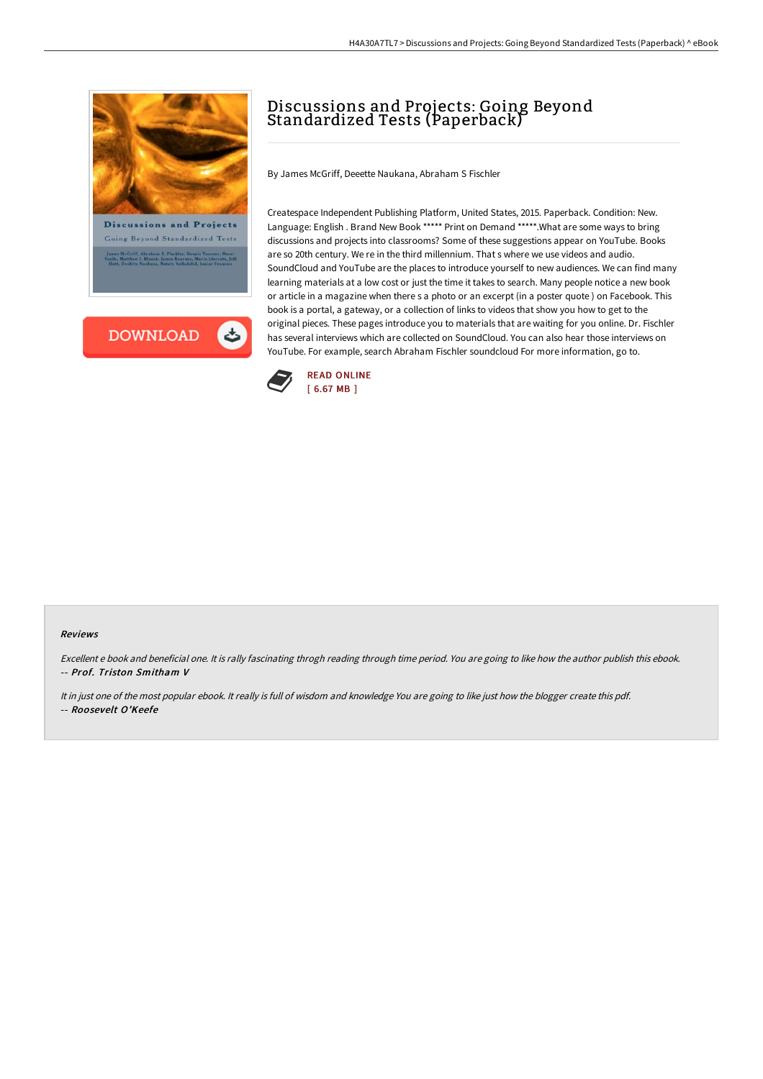



## Discussions and Projects: Going Beyond Standardized Tests (Paperback)

By James McGriff, Deeette Naukana, Abraham S Fischler

Createspace Independent Publishing Platform, United States, 2015. Paperback. Condition: New. Language: English . Brand New Book \*\*\*\*\* Print on Demand \*\*\*\*\*.What are some ways to bring discussions and projects into classrooms? Some of these suggestions appear on YouTube. Books are so 20th century. We re in the third millennium. That s where we use videos and audio. SoundCloud and YouTube are the places to introduce yourself to new audiences. We can find many learning materials at a low cost or just the time it takes to search. Many people notice a new book or article in a magazine when there s a photo or an excerpt (in a poster quote ) on Facebook. This book is a portal, a gateway, or a collection of links to videos that show you how to get to the original pieces. These pages introduce you to materials that are waiting for you online. Dr. Fischler has several interviews which are collected on SoundCloud. You can also hear those interviews on YouTube. For example, search Abraham Fischler soundcloud For more information, go to.



## Reviews

Excellent <sup>e</sup> book and beneficial one. It is rally fascinating throgh reading through time period. You are going to like how the author publish this ebook. -- Prof. Triston Smitham V

It in just one of the most popular ebook. It really is full of wisdom and knowledge You are going to like just how the blogger create this pdf. -- Roosevelt O'Keefe